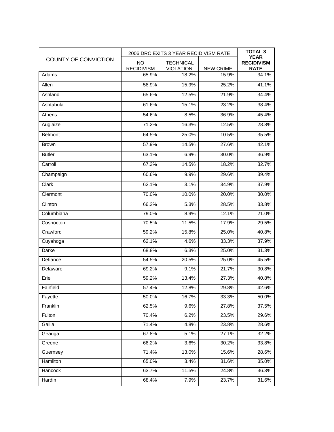| COUNTY OF CONVICTION | 2006 DRC EXITS 3 YEAR RECIDIVISM RATE |                                      |                  | <b>TOTAL 3</b><br><b>YEAR</b>    |
|----------------------|---------------------------------------|--------------------------------------|------------------|----------------------------------|
|                      | <b>NO</b><br><b>RECIDIVISM</b>        | <b>TECHNICAL</b><br><b>VIOLATION</b> | <b>NEW CRIME</b> | <b>RECIDIVISM</b><br><b>RATE</b> |
| Adams                | 65.9%                                 | 18.2%                                | 15.9%            | 34.1%                            |
| Allen                | 58.9%                                 | 15.9%                                | 25.2%            | 41.1%                            |
| Ashland              | 65.6%                                 | 12.5%                                | 21.9%            | 34.4%                            |
| Ashtabula            | 61.6%                                 | 15.1%                                | 23.2%            | 38.4%                            |
| Athens               | 54.6%                                 | 8.5%                                 | 36.9%            | 45.4%                            |
| Auglaize             | 71.2%                                 | 16.3%                                | 12.5%            | 28.8%                            |
| <b>Belmont</b>       | 64.5%                                 | 25.0%                                | 10.5%            | 35.5%                            |
| <b>Brown</b>         | 57.9%                                 | 14.5%                                | 27.6%            | 42.1%                            |
| <b>Butler</b>        | 63.1%                                 | 6.9%                                 | 30.0%            | 36.9%                            |
| Carroll              | 67.3%                                 | 14.5%                                | 18.2%            | 32.7%                            |
| Champaign            | 60.6%                                 | 9.9%                                 | 29.6%            | 39.4%                            |
| Clark                | 62.1%                                 | 3.1%                                 | 34.9%            | 37.9%                            |
| Clermont             | 70.0%                                 | 10.0%                                | 20.0%            | 30.0%                            |
| Clinton              | 66.2%                                 | 5.3%                                 | 28.5%            | 33.8%                            |
| Columbiana           | 79.0%                                 | 8.9%                                 | 12.1%            | 21.0%                            |
| Coshocton            | 70.5%                                 | 11.5%                                | 17.9%            | 29.5%                            |
| Crawford             | 59.2%                                 | 15.8%                                | 25.0%            | 40.8%                            |
| Cuyahoga             | 62.1%                                 | 4.6%                                 | 33.3%            | 37.9%                            |
| Darke                | 68.8%                                 | 6.3%                                 | 25.0%            | 31.3%                            |
| Defiance             | 54.5%                                 | 20.5%                                | 25.0%            | 45.5%                            |
| Delaware             | 69.2%                                 | 9.1%                                 | 21.7%            | 30.8%                            |
| Erie                 | 59.2%                                 | 13.4%                                | 27.3%            | 40.8%                            |
| Fairfield            | 57.4%                                 | 12.8%                                | 29.8%            | 42.6%                            |
| Fayette              | 50.0%                                 | 16.7%                                | 33.3%            | 50.0%                            |
| Franklin             | 62.5%                                 | 9.6%                                 | 27.8%            | 37.5%                            |
| Fulton               | 70.4%                                 | 6.2%                                 | 23.5%            | 29.6%                            |
| Gallia               | 71.4%                                 | 4.8%                                 | 23.8%            | 28.6%                            |
| Geauga               | 67.8%                                 | 5.1%                                 | 27.1%            | 32.2%                            |
| Greene               | 66.2%                                 | 3.6%                                 | 30.2%            | 33.8%                            |
| Guernsey             | 71.4%                                 | 13.0%                                | 15.6%            | 28.6%                            |
| Hamilton             | 65.0%                                 | 3.4%                                 | 31.6%            | 35.0%                            |
| Hancock              | 63.7%                                 | 11.5%                                | 24.8%            | 36.3%                            |
| Hardin               | 68.4%                                 | 7.9%                                 | 23.7%            | 31.6%                            |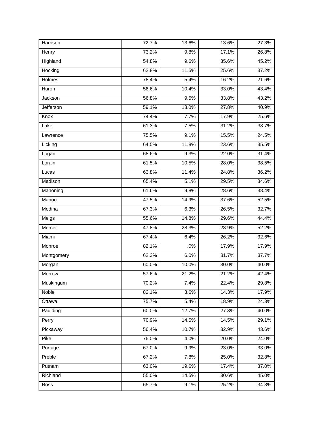| Harrison      | 72.7% | 13.6% | 13.6% | 27.3% |
|---------------|-------|-------|-------|-------|
| Henry         | 73.2% | 9.8%  | 17.1% | 26.8% |
| Highland      | 54.8% | 9.6%  | 35.6% | 45.2% |
| Hocking       | 62.8% | 11.5% | 25.6% | 37.2% |
| <b>Holmes</b> | 78.4% | 5.4%  | 16.2% | 21.6% |
| Huron         | 56.6% | 10.4% | 33.0% | 43.4% |
| Jackson       | 56.8% | 9.5%  | 33.8% | 43.2% |
| Jefferson     | 59.1% | 13.0% | 27.8% | 40.9% |
| Knox          | 74.4% | 7.7%  | 17.9% | 25.6% |
| Lake          | 61.3% | 7.5%  | 31.2% | 38.7% |
| Lawrence      | 75.5% | 9.1%  | 15.5% | 24.5% |
| Licking       | 64.5% | 11.8% | 23.6% | 35.5% |
| Logan         | 68.6% | 9.3%  | 22.0% | 31.4% |
| Lorain        | 61.5% | 10.5% | 28.0% | 38.5% |
| Lucas         | 63.8% | 11.4% | 24.8% | 36.2% |
| Madison       | 65.4% | 5.1%  | 29.5% | 34.6% |
| Mahoning      | 61.6% | 9.8%  | 28.6% | 38.4% |
| Marion        | 47.5% | 14.9% | 37.6% | 52.5% |
| Medina        | 67.3% | 6.3%  | 26.5% | 32.7% |
| Meigs         | 55.6% | 14.8% | 29.6% | 44.4% |
| Mercer        | 47.8% | 28.3% | 23.9% | 52.2% |
| Miami         | 67.4% | 6.4%  | 26.2% | 32.6% |
| Monroe        | 82.1% | .0%   | 17.9% | 17.9% |
| Montgomery    | 62.3% | 6.0%  | 31.7% | 37.7% |
| Morgan        | 60.0% | 10.0% | 30.0% | 40.0% |
| Morrow        | 57.6% | 21.2% | 21.2% | 42.4% |
| Muskingum     | 70.2% | 7.4%  | 22.4% | 29.8% |
| Noble         | 82.1% | 3.6%  | 14.3% | 17.9% |
| Ottawa        | 75.7% | 5.4%  | 18.9% | 24.3% |
| Paulding      | 60.0% | 12.7% | 27.3% | 40.0% |
| Perry         | 70.9% | 14.5% | 14.5% | 29.1% |
| Pickaway      | 56.4% | 10.7% | 32.9% | 43.6% |
| Pike          | 76.0% | 4.0%  | 20.0% | 24.0% |
| Portage       | 67.0% | 9.9%  | 23.0% | 33.0% |
| Preble        | 67.2% | 7.8%  | 25.0% | 32.8% |
| Putnam        | 63.0% | 19.6% | 17.4% | 37.0% |
| Richland      | 55.0% | 14.5% | 30.6% | 45.0% |
| Ross          | 65.7% | 9.1%  | 25.2% | 34.3% |